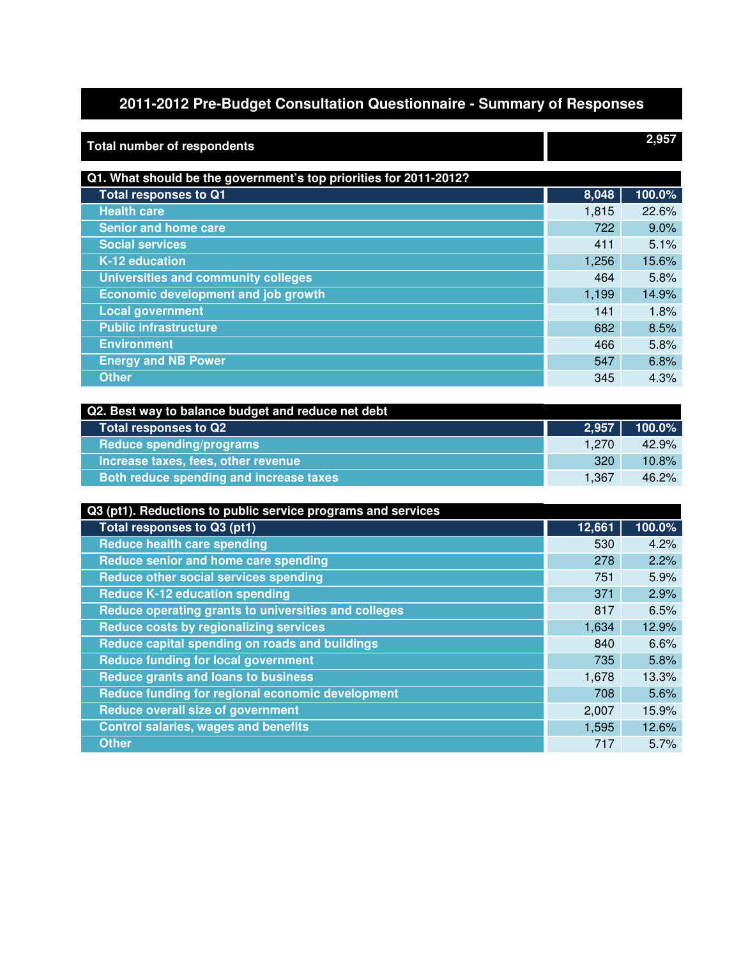## **2011-2012 Pre-Budget Consultation Questionnaire - Summary of Responses**

| <b>Total number of respondents</b>                                |        | 2,957  |
|-------------------------------------------------------------------|--------|--------|
| Q1. What should be the government's top priorities for 2011-2012? |        |        |
| <b>Total responses to Q1</b>                                      | 8,048  | 100.0% |
| <b>Health care</b>                                                | 1,815  | 22.6%  |
| <b>Senior and home care</b>                                       | 722    | 9.0%   |
| <b>Social services</b>                                            | 411    | 5.1%   |
| K-12 education                                                    | 1,256  | 15.6%  |
| <b>Universities and community colleges</b>                        | 464    | 5.8%   |
| <b>Economic development and job growth</b>                        | 1,199  | 14.9%  |
| <b>Local government</b>                                           | 141    | 1.8%   |
| <b>Public infrastructure</b>                                      | 682    | 8.5%   |
| <b>Environment</b>                                                | 466    | 5.8%   |
| <b>Energy and NB Power</b>                                        | 547    | 6.8%   |
| <b>Other</b>                                                      | 345    | 4.3%   |
|                                                                   |        |        |
| Q2. Best way to balance budget and reduce net debt                |        |        |
| <b>Total responses to Q2</b>                                      | 2,957  | 100.0% |
| <b>Reduce spending/programs</b>                                   | 1,270  | 42.9%  |
| Increase taxes, fees, other revenue                               | 320    | 10.8%  |
| Both reduce spending and increase taxes                           | 1,367  | 46.2%  |
|                                                                   |        |        |
| Q3 (pt1). Reductions to public service programs and services      |        |        |
| Total responses to Q3 (pt1)                                       | 12,661 | 100.0% |
| <b>Reduce health care spending</b>                                | 530    | 4.2%   |
| Reduce senior and home care spending                              | 278    | 2.2%   |
| Reduce other social services spending                             | 751    | 5.9%   |
| <b>Reduce K-12 education spending</b>                             | 371    | 2.9%   |
| Reduce operating grants to universities and colleges              | 817    | 6.5%   |
| <b>Reduce costs by regionalizing services</b>                     | 1,634  | 12.9%  |
| Reduce capital spending on roads and buildings                    | 840    | 6.6%   |
| <b>Reduce funding for local government</b>                        | 735    | 5.8%   |
| <b>Reduce grants and loans to business</b>                        | 1,678  | 13.3%  |
| Reduce funding for regional economic development                  | 708    | 5.6%   |
| <b>Reduce overall size of government</b>                          | 2,007  | 15.9%  |
| <b>Control salaries, wages and benefits</b>                       | 1,595  | 12.6%  |
| <b>Other</b>                                                      | 717    | 5.7%   |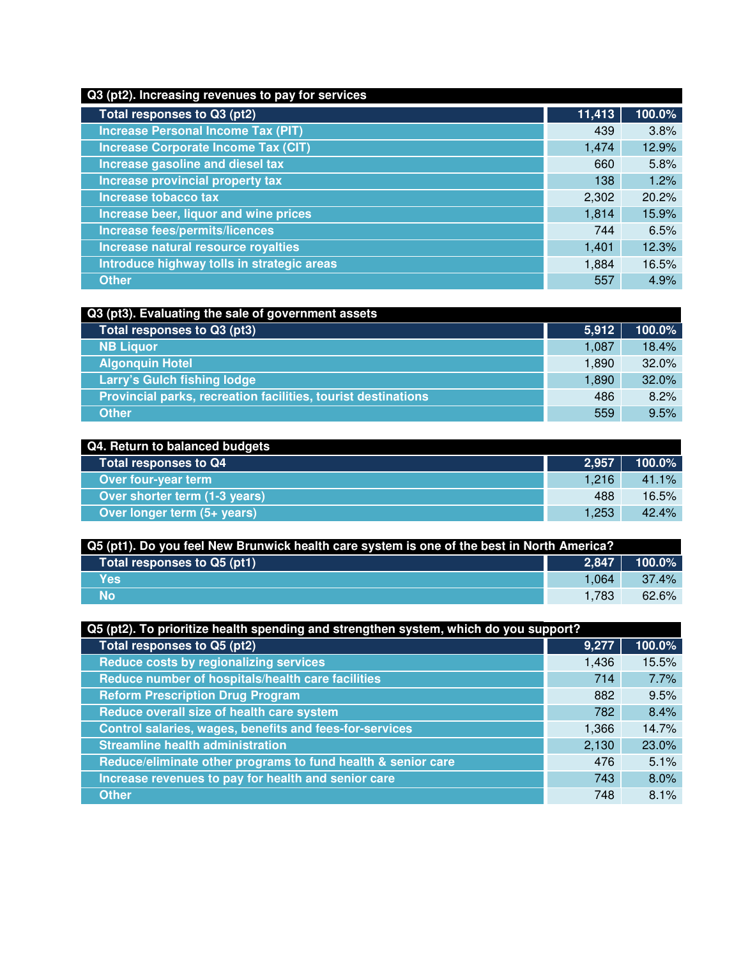## **Q3 (pt2). Increasing revenues to pay for services**

| Total responses to Q3 (pt2)                | 11,413 | 100.0% |
|--------------------------------------------|--------|--------|
| <b>Increase Personal Income Tax (PIT)</b>  | 439    | 3.8%   |
| <b>Increase Corporate Income Tax (CIT)</b> | 1,474  | 12.9%  |
| Increase gasoline and diesel tax           | 660    | 5.8%   |
| Increase provincial property tax           | 138    | 1.2%   |
| Increase tobacco tax                       | 2,302  | 20.2%  |
| Increase beer, liquor and wine prices      | 1,814  | 15.9%  |
| Increase fees/permits/licences             | 744    | 6.5%   |
| Increase natural resource royalties        | 1,401  | 12.3%  |
| Introduce highway tolls in strategic areas | 1,884  | 16.5%  |
| <b>Other</b>                               | 557    | 4.9%   |

| Q3 (pt3). Evaluating the sale of government assets            |       |        |
|---------------------------------------------------------------|-------|--------|
| Total responses to Q3 (pt3)                                   | 5,912 | 100.0% |
| <b>NB Liquor</b>                                              | 1,087 | 18.4%  |
| <b>Algonquin Hotel</b>                                        | 1,890 | 32.0%  |
| Larry's Gulch fishing lodge                                   | 1,890 | 32.0%  |
| Provincial parks, recreation facilities, tourist destinations | 486   | 8.2%   |
| <b>Other</b>                                                  | 559   | 9.5%   |

| Q4. Return to balanced budgets |       |           |
|--------------------------------|-------|-----------|
| Total responses to Q4          | 2,957 | $100.0\%$ |
| Over four-year term            | 1.216 | 41.1%     |
| Over shorter term (1-3 years)  | 488   | 16.5%     |
| Over longer term (5+ years)    | 1,253 | 42.4%     |

| Q5 (pt1). Do you feel New Brunwick health care system is one of the best in North America? |       |           |
|--------------------------------------------------------------------------------------------|-------|-----------|
| Total responses to Q5 (pt1) $^{\dagger}$                                                   | 2.847 | $100.0\%$ |
| <b>Yes</b>                                                                                 | 1.064 | $37.4\%$  |
| <b>No</b>                                                                                  | 1.783 | 62.6%     |

| Q5 (pt2). To prioritize health spending and strengthen system, which do you support? |       |        |
|--------------------------------------------------------------------------------------|-------|--------|
| Total responses to Q5 (pt2)                                                          | 9,277 | 100.0% |
| Reduce costs by regionalizing services                                               | 1,436 | 15.5%  |
| Reduce number of hospitals/health care facilities                                    | 714   | 7.7%   |
| <b>Reform Prescription Drug Program</b>                                              | 882   | 9.5%   |
| Reduce overall size of health care system                                            | 782   | 8.4%   |
| Control salaries, wages, benefits and fees-for-services                              | 1,366 | 14.7%  |
| <b>Streamline health administration</b>                                              | 2,130 | 23.0%  |
| Reduce/eliminate other programs to fund health & senior care                         | 476   | 5.1%   |
| Increase revenues to pay for health and senior care                                  | 743   | 8.0%   |
| <b>Other</b>                                                                         | 748   | 8.1%   |